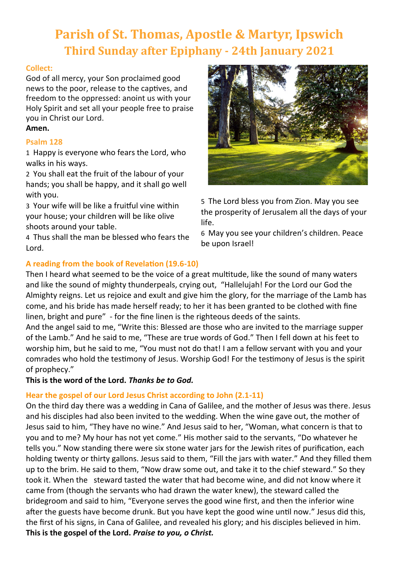# **Parish of St. Thomas, Apostle & Martyr, Ipswich Third Sunday after Epiphany - 24th January 2021**

# **Collect:**

God of all mercy, your Son proclaimed good news to the poor, release to the captives, and freedom to the oppressed: anoint us with your Holy Spirit and set all your people free to praise you in Christ our Lord. **Amen.**

# **Psalm 128**

1 Happy is everyone who fears the Lord, who walks in his ways.

2 You shall eat the fruit of the labour of your hands; you shall be happy, and it shall go well with you.

3 Your wife will be like a fruitful vine within your house; your children will be like olive shoots around your table.

4 Thus shall the man be blessed who fears the Lord.

5 The Lord bless you from Zion. May you see the prosperity of Jerusalem all the days of your life.

6 May you see your children's children. Peace be upon Israel!

# **A reading from the book of Revelation (19.6-10)**

Then I heard what seemed to be the voice of a great multitude, like the sound of many waters and like the sound of mighty thunderpeals, crying out, "Hallelujah! For the Lord our God the Almighty reigns. Let us rejoice and exult and give him the glory, for the marriage of the Lamb has come, and his bride has made herself ready; to her it has been granted to be clothed with fine linen, bright and pure" - for the fine linen is the righteous deeds of the saints.

And the angel said to me, "Write this: Blessed are those who are invited to the marriage supper of the Lamb." And he said to me, "These are true words of God." Then I fell down at his feet to worship him, but he said to me, "You must not do that! I am a fellow servant with you and your comrades who hold the testimony of Jesus. Worship God! For the testimony of Jesus is the spirit of prophecy."

**This is the word of the Lord.** *Thanks be to God.*

# **Hear the gospel of our Lord Jesus Christ according to John (2.1-11)**

On the third day there was a wedding in Cana of Galilee, and the mother of Jesus was there. Jesus and his disciples had also been invited to the wedding. When the wine gave out, the mother of Jesus said to him, "They have no wine." And Jesus said to her, "Woman, what concern is that to you and to me? My hour has not yet come." His mother said to the servants, "Do whatever he tells you." Now standing there were six stone water jars for the Jewish rites of purification, each holding twenty or thirty gallons. Jesus said to them, "Fill the jars with water." And they filled them up to the brim. He said to them, "Now draw some out, and take it to the chief steward." So they took it. When the steward tasted the water that had become wine, and did not know where it came from (though the servants who had drawn the water knew), the steward called the bridegroom and said to him, "Everyone serves the good wine first, and then the inferior wine after the guests have become drunk. But you have kept the good wine until now." Jesus did this, the first of his signs, in Cana of Galilee, and revealed his glory; and his disciples believed in him. **This is the gospel of the Lord.** *Praise to you, o Christ.*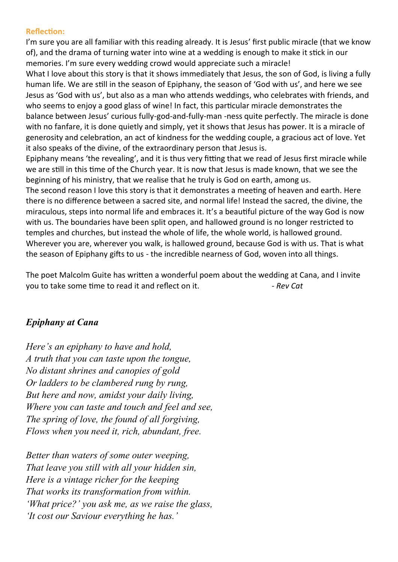## **Reflection:**

I'm sure you are all familiar with this reading already. It is Jesus' first public miracle (that we know of), and the drama of turning water into wine at a wedding is enough to make it stick in our memories. I'm sure every wedding crowd would appreciate such a miracle!

What I love about this story is that it shows immediately that Jesus, the son of God, is living a fully human life. We are still in the season of Epiphany, the season of 'God with us', and here we see Jesus as 'God with us', but also as a man who attends weddings, who celebrates with friends, and who seems to enjoy a good glass of wine! In fact, this particular miracle demonstrates the balance between Jesus' curious fully-god-and-fully-man -ness quite perfectly. The miracle is done with no fanfare, it is done quietly and simply, yet it shows that Jesus has power. It is a miracle of generosity and celebration, an act of kindness for the wedding couple, a gracious act of love. Yet it also speaks of the divine, of the extraordinary person that Jesus is.

Epiphany means 'the revealing', and it is thus very fitting that we read of Jesus first miracle while we are still in this time of the Church year. It is now that Jesus is made known, that we see the beginning of his ministry, that we realise that he truly is God on earth, among us.

The second reason I love this story is that it demonstrates a meeting of heaven and earth. Here there is no difference between a sacred site, and normal life! Instead the sacred, the divine, the miraculous, steps into normal life and embraces it. It's a beautiful picture of the way God is now with us. The boundaries have been split open, and hallowed ground is no longer restricted to temples and churches, but instead the whole of life, the whole world, is hallowed ground. Wherever you are, wherever you walk, is hallowed ground, because God is with us. That is what the season of Epiphany gifts to us - the incredible nearness of God, woven into all things.

The poet Malcolm Guite has written a wonderful poem about the wedding at Cana, and I invite you to take some time to read it and reflect on it. *- Rev Cat*

# *Epiphany at Cana*

*Here's an epiphany to have and hold, A truth that you can taste upon the tongue, No distant shrines and canopies of gold Or ladders to be clambered rung by rung, But here and now, amidst your daily living, Where you can taste and touch and feel and see, The spring of love, the found of all forgiving, Flows when you need it, rich, abundant, free.*

*Better than waters of some outer weeping, That leave you still with all your hidden sin, Here is a vintage richer for the keeping That works its transformation from within. 'What price?' you ask me, as we raise the glass, 'It cost our Saviour everything he has.'*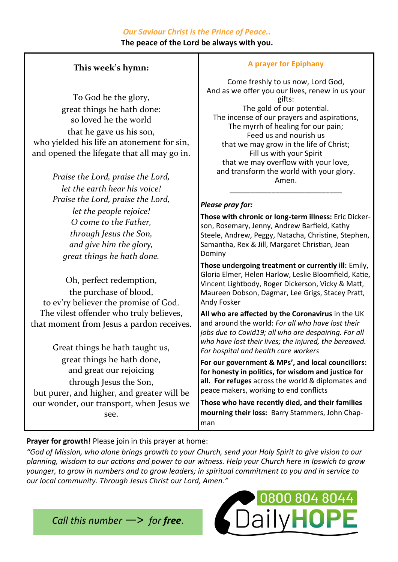# *Our Saviour Christ is the Prince of Peace..*

**The peace of the Lord be always with you.**

# **This week's hymn:**

To God be the glory, great things he hath done: so loved he the world that he gave us his son, who yielded his life an atonement for sin, and opened the lifegate that all may go in.

> *Praise the Lord, praise the Lord, let the earth hear his voice! Praise the Lord, praise the Lord, let the people rejoice! O come to the Father, through Jesus the Son, and give him the glory, great things he hath done.*

Oh, perfect redemption, the purchase of blood, to ev'ry believer the promise of God. The vilest offender who truly believes, that moment from Jesus a pardon receives.

Great things he hath taught us, great things he hath done, and great our rejoicing through Jesus the Son, but purer, and higher, and greater will be our wonder, our transport, when Jesus we see.

# **A prayer for Epiphany**

Come freshly to us now, Lord God, And as we offer you our lives, renew in us your gifts: The gold of our potential. The incense of our prayers and aspirations, The myrrh of healing for our pain; Feed us and nourish us that we may grow in the life of Christ; Fill us with your Spirit that we may overflow with your love, and transform the world with your glory. Amen.

# *Please pray for:*

**Those with chronic or long-term illness:** Eric Dickerson, Rosemary, Jenny, Andrew Barfield, Kathy Steele, Andrew, Peggy, Natacha, Christine, Stephen, Samantha, Rex & Jill, Margaret Christian, Jean Dominy

**\_\_\_\_\_\_\_\_\_\_\_\_\_\_\_\_\_\_\_\_\_\_\_\_\_\_\_**

**Those undergoing treatment or currently ill:** Emily, Gloria Elmer, Helen Harlow, Leslie Bloomfield, Katie, Vincent Lightbody, Roger Dickerson, Vicky & Matt, Maureen Dobson, Dagmar, Lee Grigs, Stacey Pratt, Andy Fosker

**All who are affected by the Coronavirus** in the UK and around the world: *For all who have lost their jobs due to Covid19; all who are despairing. For all who have lost their lives; the injured, the bereaved. For hospital and health care workers*

**For our government & MPs', and local councillors: for honesty in politics, for wisdom and justice for all. For refuges** across the world & diplomates and peace makers, working to end conflicts

**Those who have recently died, and their families mourning their loss:** Barry Stammers, John Chapman

# **Prayer for growth!** Please join in this prayer at home:

*"God of Mission, who alone brings growth to your Church, send your Holy Spirit to give vision to our planning, wisdom to our actions and power to our witness. Help your Church here in Ipswich to grow younger, to grow in numbers and to grow leaders; in spiritual commitment to you and in service to our local community. Through Jesus Christ our Lord, Amen."*

*Call this number* —> *for free*.